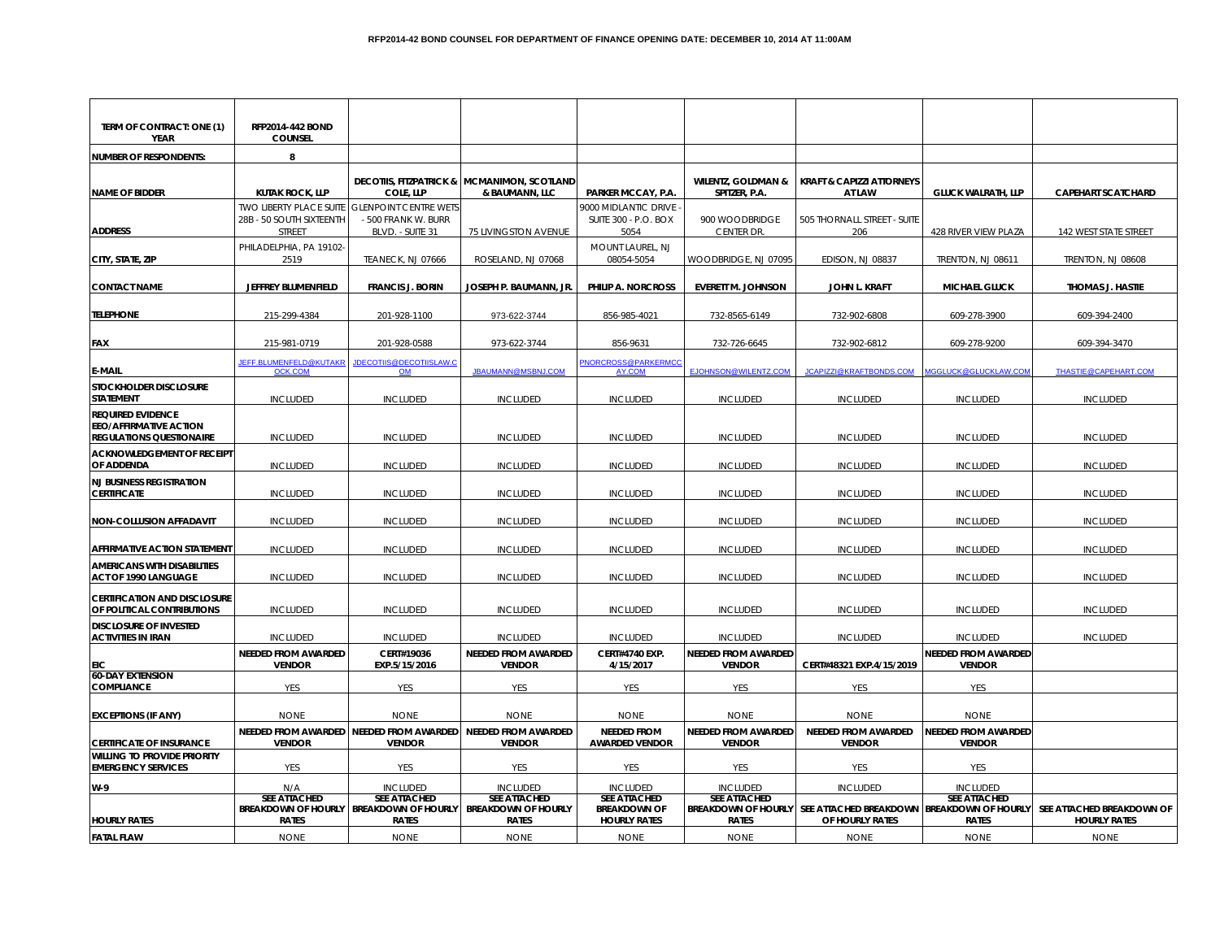| TERM OF CONTRACT: ONE (1)<br>YEAR                                                            | RFP2014-442 BOND<br><b>COUNSEL</b>                                                         |                                                                                |                                                                          |                                                                   |                                                                   |                                                               |                                             |                                                  |
|----------------------------------------------------------------------------------------------|--------------------------------------------------------------------------------------------|--------------------------------------------------------------------------------|--------------------------------------------------------------------------|-------------------------------------------------------------------|-------------------------------------------------------------------|---------------------------------------------------------------|---------------------------------------------|--------------------------------------------------|
| <b>NUMBER OF RESPONDENTS:</b>                                                                | 8                                                                                          |                                                                                |                                                                          |                                                                   |                                                                   |                                                               |                                             |                                                  |
| <b>NAME OF BIDDER</b>                                                                        | <b>KUTAK ROCK, LLP</b>                                                                     | COLE, LLP                                                                      | <b>DECOTIIS, FITZPATRICK &amp; MCMANIMON, SCOTLAND</b><br>& BAUMANN, LLC | PARKER MCCAY, P.A.                                                | <b>WILENTZ, GOLDMAN &amp;</b><br>SPITZER, P.A.                    | <b>KRAFT &amp; CAPIZZI ATTORNEYS</b><br>AT LAW                | <b>GLUCK WALRATH, LLP</b>                   | <b>CAPEHART SCATCHARD</b>                        |
| <b>ADDRESS</b>                                                                               | TWO LIBERTY PLACE SUITE GLENPOINT CENTRE WETS<br>28B - 50 SOUTH SIXTEENTH<br><b>STREET</b> | - 500 FRANK W. BURR<br>BLVD. - SUITE 31                                        | 75 LIVINGSTON AVENUE                                                     | 9000 MIDLANTIC DRIVE<br><b>SUITE 300 - P.O. BOX</b><br>5054       | 900 WOODBRIDGE<br>CENTER DR.                                      | 505 THORNALL STREET - SUITE<br>206                            | 428 RIVER VIEW PLAZA                        | 142 WEST STATE STREET                            |
| CITY, STATE, ZIP                                                                             | PHILADELPHIA, PA 19102-<br>2519                                                            | TEANECK, NJ 07666                                                              | ROSELAND, NJ 07068                                                       | MOUNT LAUREL, NJ<br>08054-5054                                    | WOODBRIDGE, NJ 07095                                              | EDISON, NJ 08837                                              | TRENTON, NJ 08611                           | TRENTON, NJ 08608                                |
| <b>CONTACT NAME</b>                                                                          | JEFFREY BLUMENFIELD                                                                        | <b>FRANCIS J. BORIN</b>                                                        | JOSEPH P. BAUMANN, JR.                                                   | PHILIP A. NORCROSS                                                | <b>EVERETT M. JOHNSON</b>                                         | JOHN L. KRAFT                                                 | <b>MICHAEL GLUCK</b>                        | THOMAS J. HASTIE                                 |
| <b>TELEPHONE</b>                                                                             | 215-299-4384                                                                               | 201-928-1100                                                                   | 973-622-3744                                                             | 856-985-4021                                                      | 732-8565-6149                                                     | 732-902-6808                                                  | 609-278-3900                                | 609-394-2400                                     |
| <b>FAX</b>                                                                                   | 215-981-0719                                                                               | 201-928-0588                                                                   | 973-622-3744                                                             | 856-9631                                                          | 732-726-6645                                                      | 732-902-6812                                                  | 609-278-9200                                | 609-394-3470                                     |
| e-Mail                                                                                       | JEFF.BLUMENFELD@KUTAKR<br><b>OCK.COM</b>                                                   | <b>JDECOTIIS@DECOTIISLAW.C</b><br>OM                                           | JBAUMANN@MSBNJ.COM                                                       | NORCROSS@PARKERMC<br>AY.COM                                       | EJOHNSON@WILENTZ.COM                                              | JCAPIZZI@KRAFTBONDS.COM MGGLUCK@GLUCKLAW.COM                  |                                             | THASTIE@CAPEHART.COM                             |
| STOCKHOLDER DISCLOSURE<br>STATEMENT                                                          | <b>INCLUDED</b>                                                                            | <b>INCLUDED</b>                                                                | <b>INCLUDED</b>                                                          | <b>INCLUDED</b>                                                   | <b>INCLUDED</b>                                                   | <b>INCLUDED</b>                                               | <b>INCLUDED</b>                             | <b>INCLUDED</b>                                  |
| <b>REQUIRED EVIDENCE</b><br><b>EEO/AFFIRMATIVE ACTION</b><br><b>REGULATIONS QUESTIONAIRE</b> | <b>INCLUDED</b>                                                                            | <b>INCLUDED</b>                                                                | <b>INCLUDED</b>                                                          | <b>INCLUDED</b>                                                   | <b>INCLUDED</b>                                                   | <b>INCLUDED</b>                                               | <b>INCLUDED</b>                             | <b>INCLUDED</b>                                  |
| <b>ACKNOWLEDGEMENT OF RECEIPT</b><br>OF ADDENDA                                              | <b>INCLUDED</b>                                                                            | <b>INCLUDED</b>                                                                | <b>INCLUDED</b>                                                          | <b>INCLUDED</b>                                                   | <b>INCLUDED</b>                                                   | <b>INCLUDED</b>                                               | <b>INCLUDED</b>                             | <b>INCLUDED</b>                                  |
| <b>NJ BUSINESS REGISTRATION</b><br><b>CERTIFICATE</b>                                        | <b>INCLUDED</b>                                                                            | <b>INCLUDED</b>                                                                | <b>INCLUDED</b>                                                          | <b>INCLUDED</b>                                                   | <b>INCLUDED</b>                                                   | <b>INCLUDED</b>                                               | <b>INCLUDED</b>                             | <b>INCLUDED</b>                                  |
| <b>NON-COLLUSION AFFADAVIT</b>                                                               | <b>INCLUDED</b>                                                                            | <b>INCLUDED</b>                                                                | <b>INCLUDED</b>                                                          | <b>INCLUDED</b>                                                   | <b>INCLUDED</b>                                                   | <b>INCLUDED</b>                                               | <b>INCLUDED</b>                             | <b>INCLUDED</b>                                  |
| AFFIRMATIVE ACTION STATEMENT                                                                 | <b>INCLUDED</b>                                                                            | <b>INCLUDED</b>                                                                | <b>INCLUDED</b>                                                          | <b>INCLUDED</b>                                                   | <b>INCLUDED</b>                                                   | <b>INCLUDED</b>                                               | <b>INCLUDED</b>                             | <b>INCLUDED</b>                                  |
| <b>AMERICANS WITH DISABILITIES</b><br>ACT OF 1990 LANGUAGE                                   | <b>INCLUDED</b>                                                                            | <b>INCLUDED</b>                                                                | <b>INCLUDED</b>                                                          | INCLUDED                                                          | <b>INCLUDED</b>                                                   | <b>INCLUDED</b>                                               | <b>INCLUDED</b>                             | <b>INCLUDED</b>                                  |
| <b>CERTIFICATION AND DISCLOSURE</b><br>OF POLITICAL CONTRIBUTIONS                            | <b>INCLUDED</b>                                                                            | <b>INCLUDED</b>                                                                | <b>INCLUDED</b>                                                          | <b>INCLUDED</b>                                                   | <b>INCLUDED</b>                                                   | <b>INCLUDED</b>                                               | <b>INCLUDED</b>                             | <b>INCLUDED</b>                                  |
| <b>DISCLOSURE OF INVESTED</b><br><b>ACTIVITIES IN IRAN</b>                                   | <b>INCLUDED</b>                                                                            | <b>INCLUDED</b>                                                                | <b>INCLUDED</b>                                                          | <b>INCLUDED</b>                                                   | <b>INCLUDED</b>                                                   | <b>INCLUDED</b>                                               | <b>INCLUDED</b>                             | <b>INCLUDED</b>                                  |
| EIC                                                                                          | <b>NEEDED FROM AWARDED</b><br><b>VENDOR</b>                                                | CERT#19036<br>EXP.5/15/2016                                                    | <b>NEEDED FROM AWARDED</b><br><b>VENDOR</b>                              | <b>CERT#4740 EXP.</b><br>4/15/2017                                | <b>NEEDED FROM AWARDED</b><br><b>VENDOR</b>                       | CERT#48321 EXP.4/15/2019                                      | NEEDED FROM AWARDED<br><b>VENDOR</b>        |                                                  |
| <b>60-DAY EXTENSION</b><br><b>COMPLIANCE</b>                                                 | YES                                                                                        | YES                                                                            | YES                                                                      | <b>YES</b>                                                        | YES                                                               | YES                                                           | <b>YES</b>                                  |                                                  |
| <b>EXCEPTIONS (IF ANY)</b>                                                                   | <b>NONE</b>                                                                                | <b>NONE</b>                                                                    | <b>NONE</b>                                                              | <b>NONE</b>                                                       | <b>NONE</b>                                                       | <b>NONE</b>                                                   | <b>NONE</b>                                 |                                                  |
| <b>CERTIFICATE OF INSURANCE</b>                                                              | <b>NEEDED FROM AWARDED</b><br><b>VENDOR</b>                                                | <b>NEEDED FROM AWARDED</b><br><b>VENDOR</b>                                    | <b>NEEDED FROM AWARDED</b><br><b>VENDOR</b>                              | <b>NEEDED FROM</b><br><b>AWARDED VENDOR</b>                       | <b>NEEDED FROM AWARDED</b><br><b>VENDOR</b>                       | <b>NEEDED FROM AWARDED</b><br><b>VENDOR</b>                   | <b>NEEDED FROM AWARDED</b><br><b>VENDOR</b> |                                                  |
| <b>WILLING TO PROVIDE PRIORITY</b><br><b>EMERGENCY SERVICES</b>                              | YES                                                                                        | YES                                                                            | YES                                                                      | YES                                                               | YES                                                               | YES                                                           | YES                                         |                                                  |
| W-9                                                                                          | N/A                                                                                        | <b>INCLUDED</b>                                                                | <b>INCLUDED</b>                                                          | <b>INCLUDED</b>                                                   | <b>INCLUDED</b>                                                   | <b>INCLUDED</b>                                               | <b>INCLUDED</b>                             |                                                  |
| <b>HOURLY RATES</b>                                                                          | <b>SEE ATTACHED</b><br><b>RATES</b>                                                        | <b>SEE ATTACHED</b><br>BREAKDOWN OF HOURLY BREAKDOWN OF HOURLY<br><b>RATES</b> | <b>SEE ATTACHED</b><br><b>BREAKDOWN OF HOURLY</b><br><b>RATES</b>        | <b>SEE ATTACHED</b><br><b>BREAKDOWN OF</b><br><b>HOURLY RATES</b> | <b>SEE ATTACHED</b><br><b>BREAKDOWN OF HOURLY</b><br><b>RATES</b> | SEE ATTACHED BREAKDOWN BREAKDOWN OF HOURLY<br>OF HOURLY RATES | <b>SEE ATTACHED</b><br><b>RATES</b>         | SEE ATTACHED BREAKDOWN OF<br><b>HOURLY RATES</b> |
| <b>FATAL FLAW</b>                                                                            | <b>NONE</b>                                                                                | <b>NONE</b>                                                                    | <b>NONE</b>                                                              | <b>NONE</b>                                                       | <b>NONE</b>                                                       | <b>NONE</b>                                                   | <b>NONE</b>                                 | <b>NONE</b>                                      |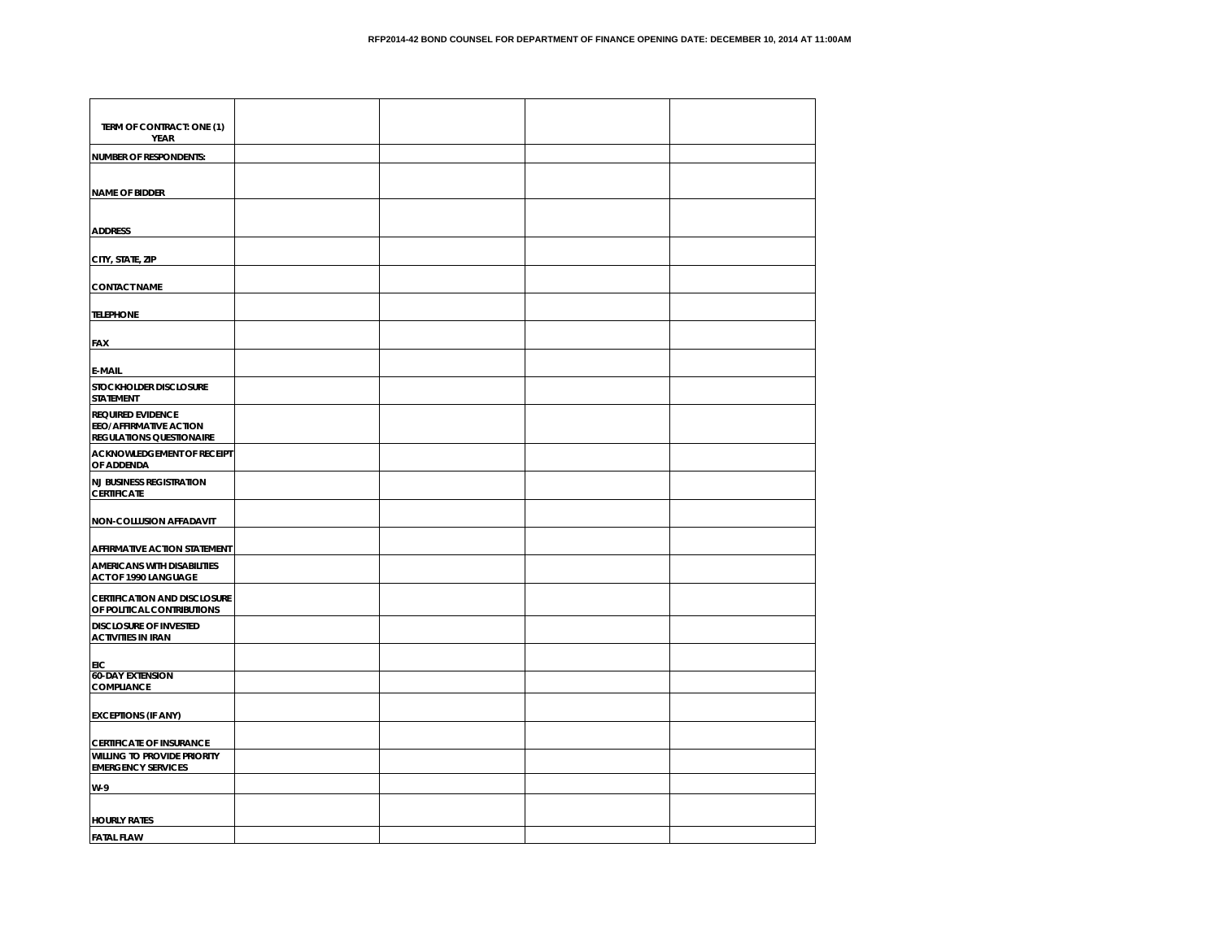| TERM OF CONTRACT: ONE (1)<br><b>YEAR</b>                                                     |  |  |
|----------------------------------------------------------------------------------------------|--|--|
| <b>NUMBER OF RESPONDENTS:</b>                                                                |  |  |
|                                                                                              |  |  |
| <b>NAME OF BIDDER</b>                                                                        |  |  |
|                                                                                              |  |  |
| <b>ADDRESS</b>                                                                               |  |  |
| CITY, STATE, ZIP                                                                             |  |  |
| <b>CONTACT NAME</b>                                                                          |  |  |
| <b>TELEPHONE</b>                                                                             |  |  |
| FAX                                                                                          |  |  |
| <b>E-MAIL</b>                                                                                |  |  |
| STOCKHOLDER DISCLOSURE<br><b>STATEMENT</b>                                                   |  |  |
| <b>REQUIRED EVIDENCE</b><br><b>EEO/AFFIRMATIVE ACTION</b><br><b>REGULATIONS QUESTIONAIRE</b> |  |  |
| <b>ACKNOWLEDGEMENT OF RECEIPT</b><br>OF ADDENDA                                              |  |  |
| <b>NJ BUSINESS REGISTRATION</b><br><b>CERTIFICATE</b>                                        |  |  |
| NON-COLLUSION AFFADAVIT                                                                      |  |  |
| <b>AFFIRMATIVE ACTION STATEMENT</b>                                                          |  |  |
| <b>AMERICANS WITH DISABILITIES</b><br>ACT OF 1990 LANGUAGE                                   |  |  |
| <b>CERTIFICATION AND DISCLOSURE</b><br>OF POLITICAL CONTRIBUTIONS                            |  |  |
| <b>DISCLOSURE OF INVESTED</b><br><b>ACTIVITIES IN IRAN</b>                                   |  |  |
| EIC                                                                                          |  |  |
| <b>60-DAY EXTENSION</b><br><b>COMPLIANCE</b>                                                 |  |  |
| <b>EXCEPTIONS (IF ANY)</b>                                                                   |  |  |
| <b>CERTIFICATE OF INSURANCE</b>                                                              |  |  |
| <b>WILLING TO PROVIDE PRIORITY</b><br><b>EMERGENCY SERVICES</b>                              |  |  |
| W-9                                                                                          |  |  |
|                                                                                              |  |  |
| <b>HOURLY RATES</b>                                                                          |  |  |
| <b>FATAI FIAW</b>                                                                            |  |  |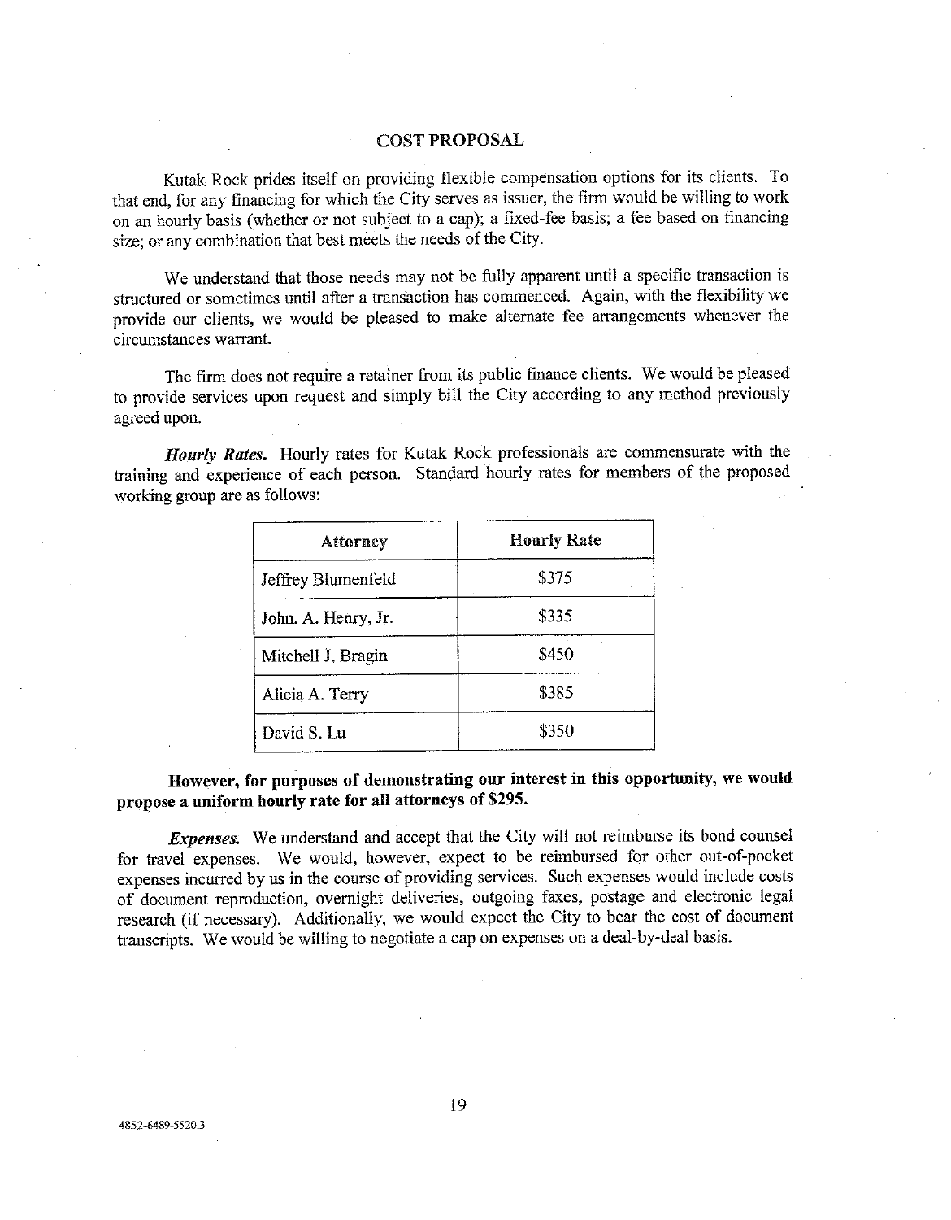### **COST PROPOSAL**

Kutak Rock prides itself on providing flexible compensation options for its clients. To that end, for any financing for which the City serves as issuer, the firm would be willing to work on an hourly basis (whether or not subject to a cap); a fixed-fee basis; a fee based on financing size: or any combination that best meets the needs of the City.

We understand that those needs may not be fully apparent until a specific transaction is structured or sometimes until after a transaction has commenced. Again, with the flexibility we provide our clients, we would be pleased to make alternate fee arrangements whenever the circumstances warrant.

The firm does not require a retainer from its public finance clients. We would be pleased to provide services upon request and simply bill the City according to any method previously agreed upon.

Hourly Rates. Hourly rates for Kutak Rock professionals are commensurate with the training and experience of each person. Standard hourly rates for members of the proposed working group are as follows:

| Attorney            | <b>Hourly Rate</b> |
|---------------------|--------------------|
| Jeffrey Blumenfeld  | \$375              |
| John. A. Henry, Jr. | \$335              |
| Mitchell J. Bragin  | \$450              |
| Alicia A. Terry     | \$385              |
| David S. Lu         | \$350              |

# However, for purposes of demonstrating our interest in this opportunity, we would propose a uniform hourly rate for all attorneys of \$295.

*Expenses.* We understand and accept that the City will not reimburse its bond counsel for travel expenses. We would, however, expect to be reimbursed for other out-of-pocket expenses incurred by us in the course of providing services. Such expenses would include costs of document reproduction, overnight deliveries, outgoing faxes, postage and electronic legal research (if necessary). Additionally, we would expect the City to bear the cost of document transcripts. We would be willing to negotiate a cap on expenses on a deal-by-deal basis.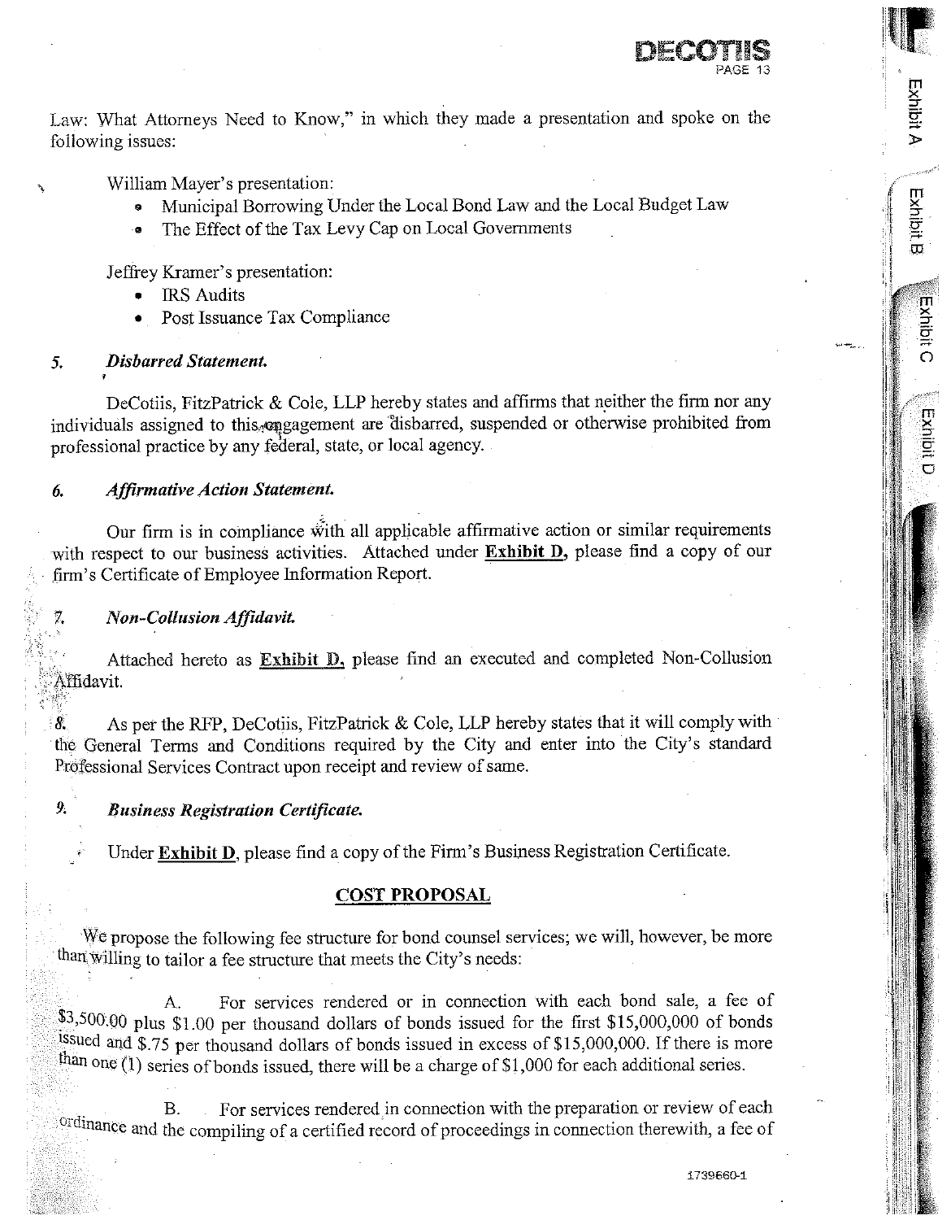

Exhibit A

**Exhibit B** 

**Exhibit C** 

Exhibit D

Law: What Attorneys Need to Know," in which they made a presentation and spoke on the following issues:

William Mayer's presentation:

- Municipal Borrowing Under the Local Bond Law and the Local Budget Law
- The Effect of the Tax Levy Cap on Local Governments

Jeffrey Kramer's presentation:

- **IRS** Audits
- Post Issuance Tax Compliance

#### **Disbarred Statement.** 5.

DeCotiis, FitzPatrick & Cole, LLP hereby states and affirms that neither the firm nor any individuals assigned to this engagement are disbarred, suspended or otherwise prohibited from professional practice by any federal, state, or local agency.

#### **Affirmative Action Statement.** 6.

Our firm is in compliance with all applicable affirmative action or similar requirements with respect to our business activities. Attached under Exhibit D, please find a copy of our firm's Certificate of Employee Information Report.

# Non-Collusion Affidavit.

7.

 $\mathbf{Q}$ 

Attached hereto as Exhibit D, please find an executed and completed Non-Collusion Affidavit.

As per the RFP, DeCotiis, FitzPatrick & Cole, LLP hereby states that it will comply with  $\delta$ . the General Terms and Conditions required by the City and enter into the City's standard Professional Services Contract upon receipt and review of same.

# **Business Registration Certificate.**

Under Exhibit D, please find a copy of the Firm's Business Registration Certificate.

# **COST PROPOSAL**

We propose the following fee structure for bond counsel services; we will, however, be more than willing to tailor a fee structure that meets the City's needs:

For services rendered or in connection with each bond sale, a fee of A.  $\frac{$3,500.00}{8}$  plus \$1.00 per thousand dollars of bonds issued for the first \$15,000,000 of bonds issued and \$.75 per thousand dollars of bonds issued in excess of \$15,000,000. If there is more than one (1) series of bonds issued, there will be a charge of \$1,000 for each additional series.

For services rendered in connection with the preparation or review of each **B.** ordinance and the compiling of a certified record of proceedings in connection therewith, a fee of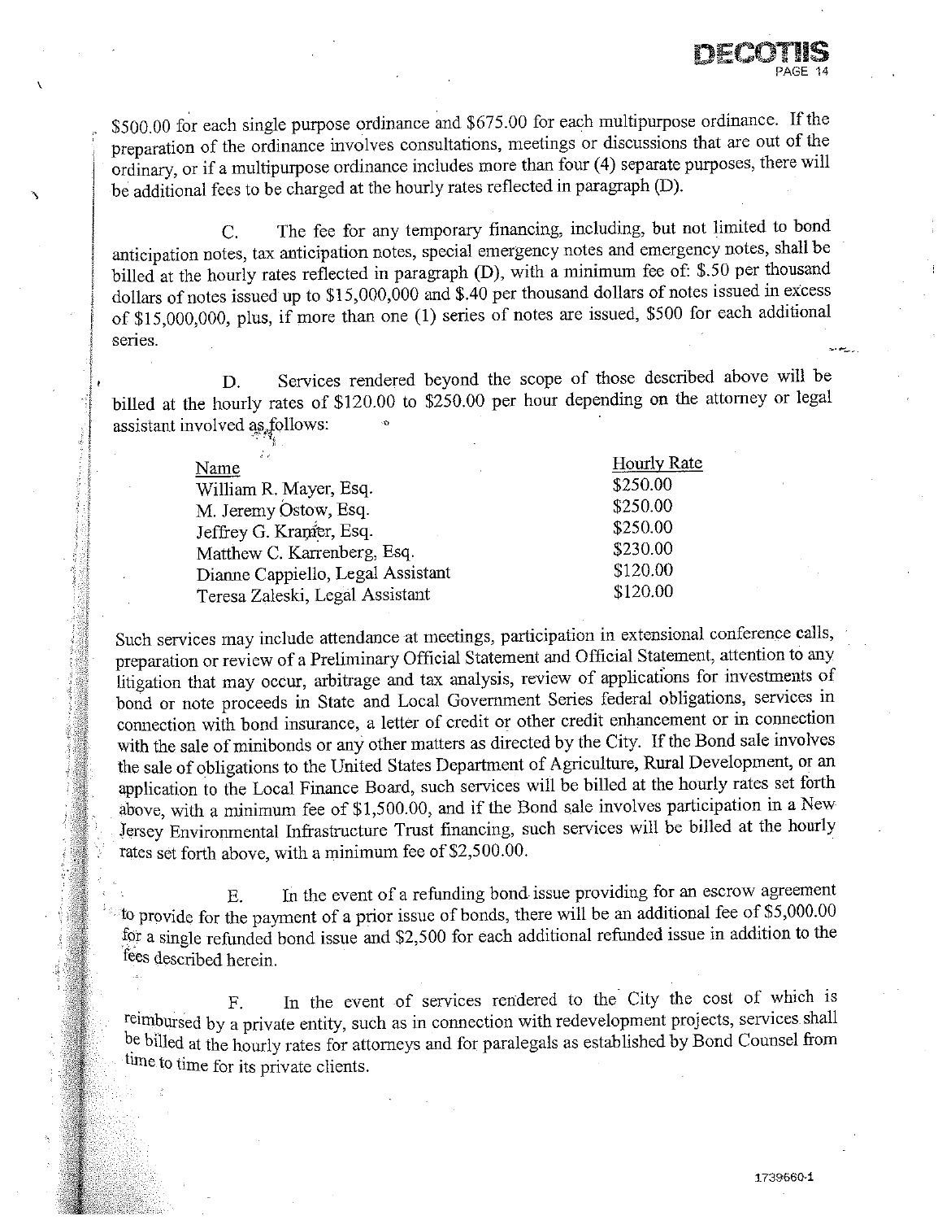\$500.00 for each single purpose ordinance and \$675.00 for each multipurpose ordinance. If the preparation of the ordinance involves consultations, meetings or discussions that are out of the ordinary, or if a multipurpose ordinance includes more than four (4) separate purposes, there will be additional fees to be charged at the hourly rates reflected in paragraph (D).

The fee for any temporary financing, including, but not limited to bond  $\overline{C}$ anticipation notes, tax anticipation notes, special emergency notes and emergency notes, shall be billed at the hourly rates reflected in paragraph (D), with a minimum fee of: \$.50 per thousand dollars of notes issued up to  $$15,000,000$  and  $$.40$  per thousand dollars of notes issued in excess of \$15,000,000, plus, if more than one (1) series of notes are issued, \$500 for each additional series.

Services rendered beyond the scope of those described above will be D. billed at the hourly rates of \$120.00 to \$250.00 per hour depending on the attorney or legal assistant involved as follows:

| йy<br>Name                        | <b>Hourly Rate</b> |
|-----------------------------------|--------------------|
| William R. Mayer, Esq.            | \$250.00           |
| M. Jeremy Ostow, Esq.             | \$250.00           |
| Jeffrey G. Kranier, Esq.          | \$250.00           |
| Matthew C. Karrenberg, Esq.       | \$230.00           |
| Dianne Cappiello, Legal Assistant | \$120.00           |
| Teresa Zaleski, Legal Assistant   | \$120.00           |

Such services may include attendance at meetings, participation in extensional conference calls, preparation or review of a Preliminary Official Statement and Official Statement, attention to any litigation that may occur, arbitrage and tax analysis, review of applications for investments of bond or note proceeds in State and Local Government Series federal obligations, services in connection with bond insurance, a letter of credit or other credit enhancement or in connection with the sale of minibonds or any other matters as directed by the City. If the Bond sale involves the sale of obligations to the United States Department of Agriculture, Rural Development, or an application to the Local Finance Board, such services will be billed at the hourly rates set forth above, with a minimum fee of \$1,500.00, and if the Bond sale involves participation in a New Jersey Environmental Infrastructure Trust financing, such services will be billed at the hourly rates set forth above, with a minimum fee of \$2,500.00.

In the event of a refunding bond issue providing for an escrow agreement  $E$ to provide for the payment of a prior issue of bonds, there will be an additional fee of \$5,000.00 for a single refunded bond issue and \$2,500 for each additional refunded issue in addition to the fees described herein.

In the event of services rendered to the City the cost of which is  $F.$ reimbursed by a private entity, such as in connection with redevelopment projects, services shall be billed at the hourly rates for attorneys and for paralegals as established by Bond Counsel from time to time for its private clients.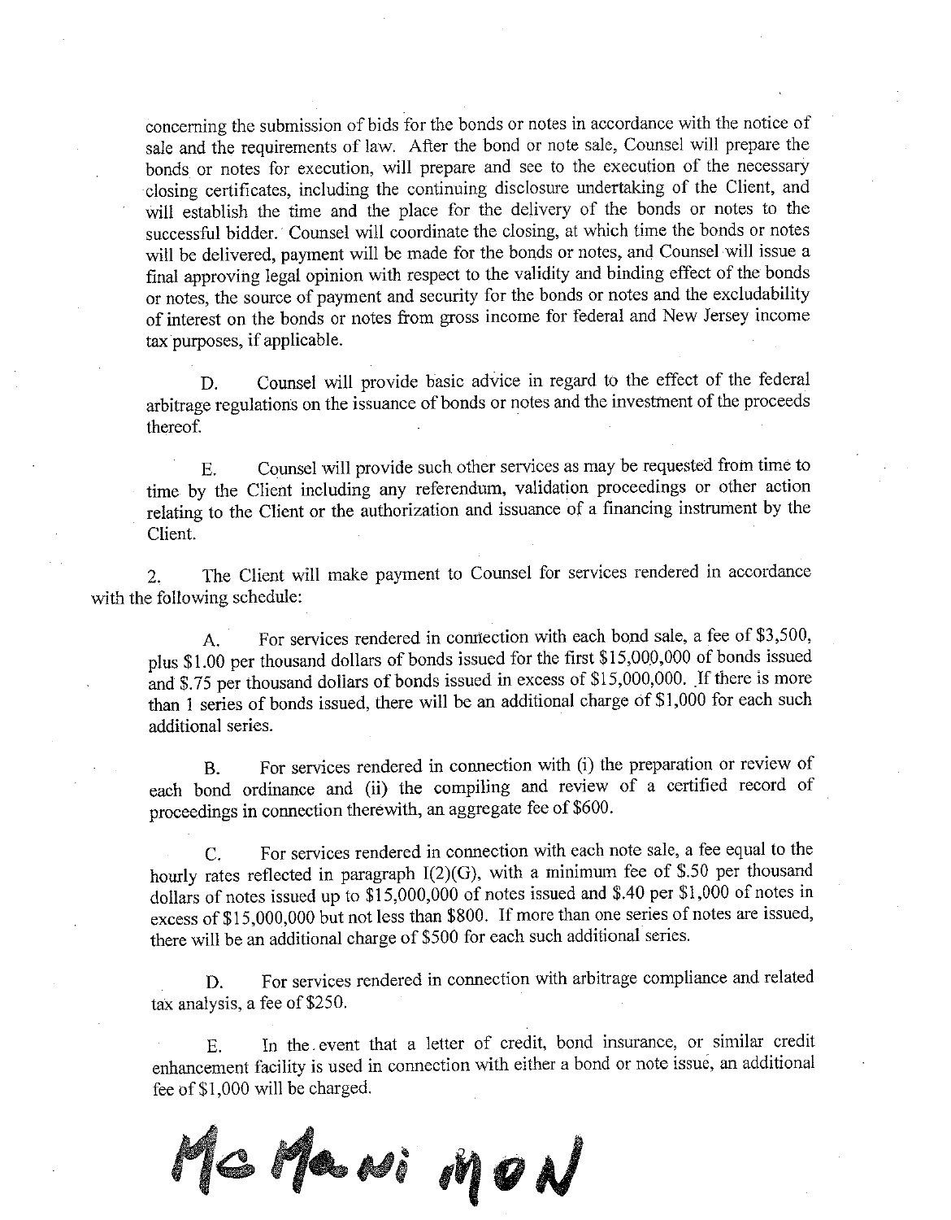concerning the submission of bids for the bonds or notes in accordance with the notice of sale and the requirements of law. After the bond or note sale, Counsel will prepare the bonds or notes for execution, will prepare and see to the execution of the necessary closing certificates, including the continuing disclosure undertaking of the Client, and will establish the time and the place for the delivery of the bonds or notes to the successful bidder. Counsel will coordinate the closing, at which time the bonds or notes will be delivered, payment will be made for the bonds or notes, and Counsel will issue a final approving legal opinion with respect to the validity and binding effect of the bonds or notes, the source of payment and security for the bonds or notes and the excludability of interest on the bonds or notes from gross income for federal and New Jersey income tax purposes, if applicable.

Counsel will provide basic advice in regard to the effect of the federal D. arbitrage regulations on the issuance of bonds or notes and the investment of the proceeds thereof.

Counsel will provide such other services as may be requested from time to  $E_{\rm{L}}$ time by the Client including any referendum, validation proceedings or other action relating to the Client or the authorization and issuance of a financing instrument by the Client.

The Client will make payment to Counsel for services rendered in accordance  $\overline{2}$ . with the following schedule:

For services rendered in connection with each bond sale, a fee of \$3,500,  $\mathbf{A}$ . plus \$1.00 per thousand dollars of bonds issued for the first \$15,000,000 of bonds issued and \$.75 per thousand dollars of bonds issued in excess of \$15,000,000. If there is more than 1 series of bonds issued, there will be an additional charge of \$1,000 for each such additional series.

For services rendered in connection with (i) the preparation or review of  $B<sub>r</sub>$ each bond ordinance and (ii) the compiling and review of a certified record of proceedings in connection therewith, an aggregate fee of \$600.

For services rendered in connection with each note sale, a fee equal to the  $\overline{C}$ . hourly rates reflected in paragraph I(2)(G), with a minimum fee of \$.50 per thousand dollars of notes issued up to \$15,000,000 of notes issued and \$.40 per \$1,000 of notes in excess of \$15,000,000 but not less than \$800. If more than one series of notes are issued, there will be an additional charge of \$500 for each such additional series.

For services rendered in connection with arbitrage compliance and related D. tax analysis, a fee of \$250.

In the event that a letter of credit, bond insurance, or similar credit Ε. enhancement facility is used in connection with either a bond or note issue, an additional fee of \$1,000 will be charged.

MG Mawi MON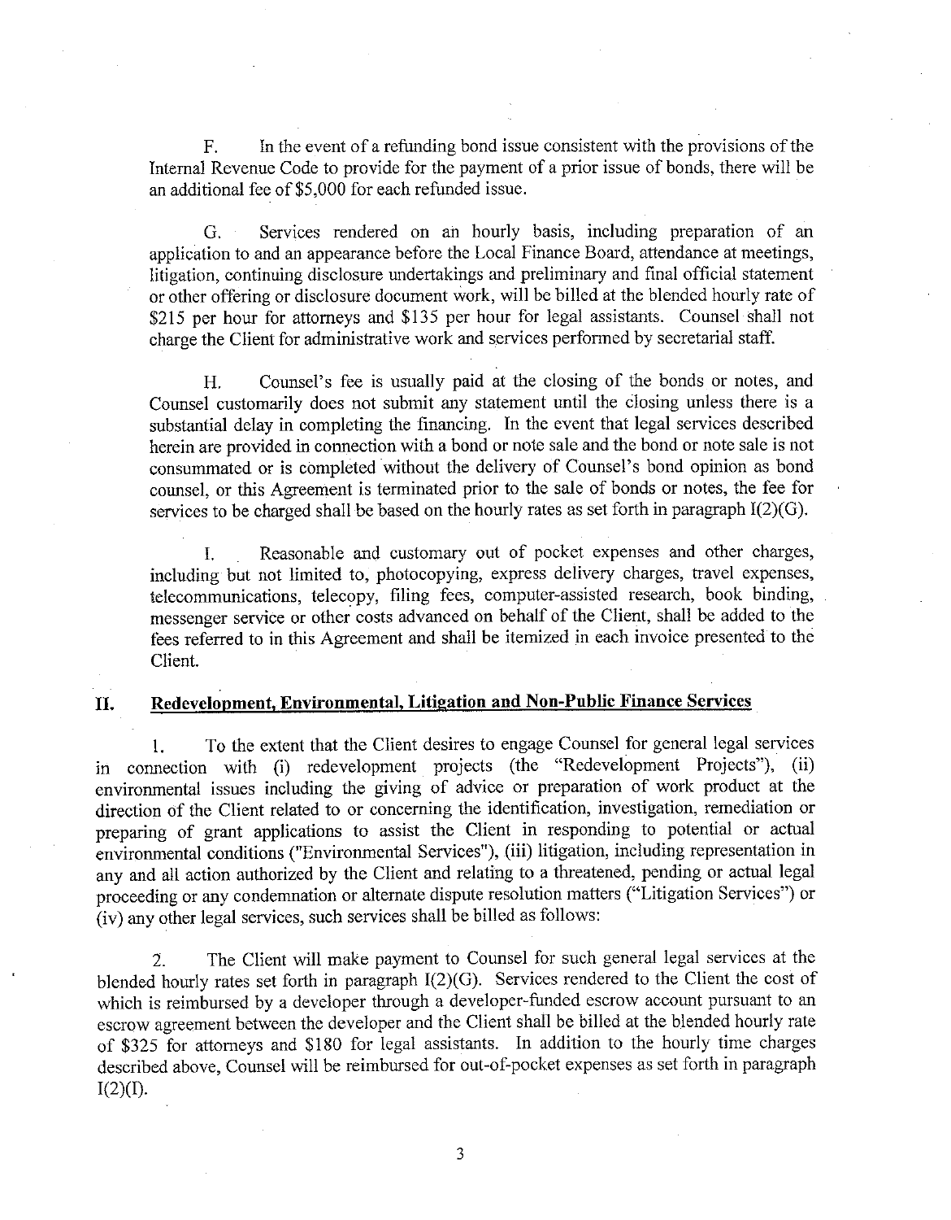In the event of a refunding bond issue consistent with the provisions of the  $F_{1}$ Internal Revenue Code to provide for the payment of a prior issue of bonds, there will be an additional fee of \$5,000 for each refunded issue.

Services rendered on an hourly basis, including preparation of an  $G<sub>r</sub>$ application to and an appearance before the Local Finance Board, attendance at meetings, litigation, continuing disclosure undertakings and preliminary and final official statement or other offering or disclosure document work, will be billed at the blended hourly rate of \$215 per hour for attorneys and \$135 per hour for legal assistants. Counsel shall not charge the Client for administrative work and services performed by secretarial staff.

Counsel's fee is usually paid at the closing of the bonds or notes, and Н. Counsel customarily does not submit any statement until the closing unless there is a substantial delay in completing the financing. In the event that legal services described herein are provided in connection with a bond or note sale and the bond or note sale is not consummated or is completed without the delivery of Counsel's bond opinion as bond counsel, or this Agreement is terminated prior to the sale of bonds or notes, the fee for services to be charged shall be based on the hourly rates as set forth in paragraph I(2)(G).

Reasonable and customary out of pocket expenses and other charges,  $\mathbf{L}$ including but not limited to, photocopying, express delivery charges, travel expenses, telecommunications, telecopy, filing fees, computer-assisted research, book binding, messenger service or other costs advanced on behalf of the Client, shall be added to the fees referred to in this Agreement and shall be itemized in each invoice presented to the Client.

#### II. Redevelopment, Environmental, Litigation and Non-Public Finance Services

To the extent that the Client desires to engage Counsel for general legal services 1. in connection with (i) redevelopment projects (the "Redevelopment Projects"), (ii) environmental issues including the giving of advice or preparation of work product at the direction of the Client related to or concerning the identification, investigation, remediation or preparing of grant applications to assist the Client in responding to potential or actual environmental conditions ("Environmental Services"), (iii) litigation, including representation in any and all action authorized by the Client and relating to a threatened, pending or actual legal proceeding or any condemnation or alternate dispute resolution matters ("Litigation Services") or (iv) any other legal services, such services shall be billed as follows:

The Client will make payment to Counsel for such general legal services at the  $\overline{2}$ . blended hourly rates set forth in paragraph  $I(2)(G)$ . Services rendered to the Client the cost of which is reimbursed by a developer through a developer-funded escrow account pursuant to an escrow agreement between the developer and the Client shall be billed at the blended hourly rate of \$325 for attorneys and \$180 for legal assistants. In addition to the hourly time charges described above, Counsel will be reimbursed for out-of-pocket expenses as set forth in paragraph  $I(2)(I)$ .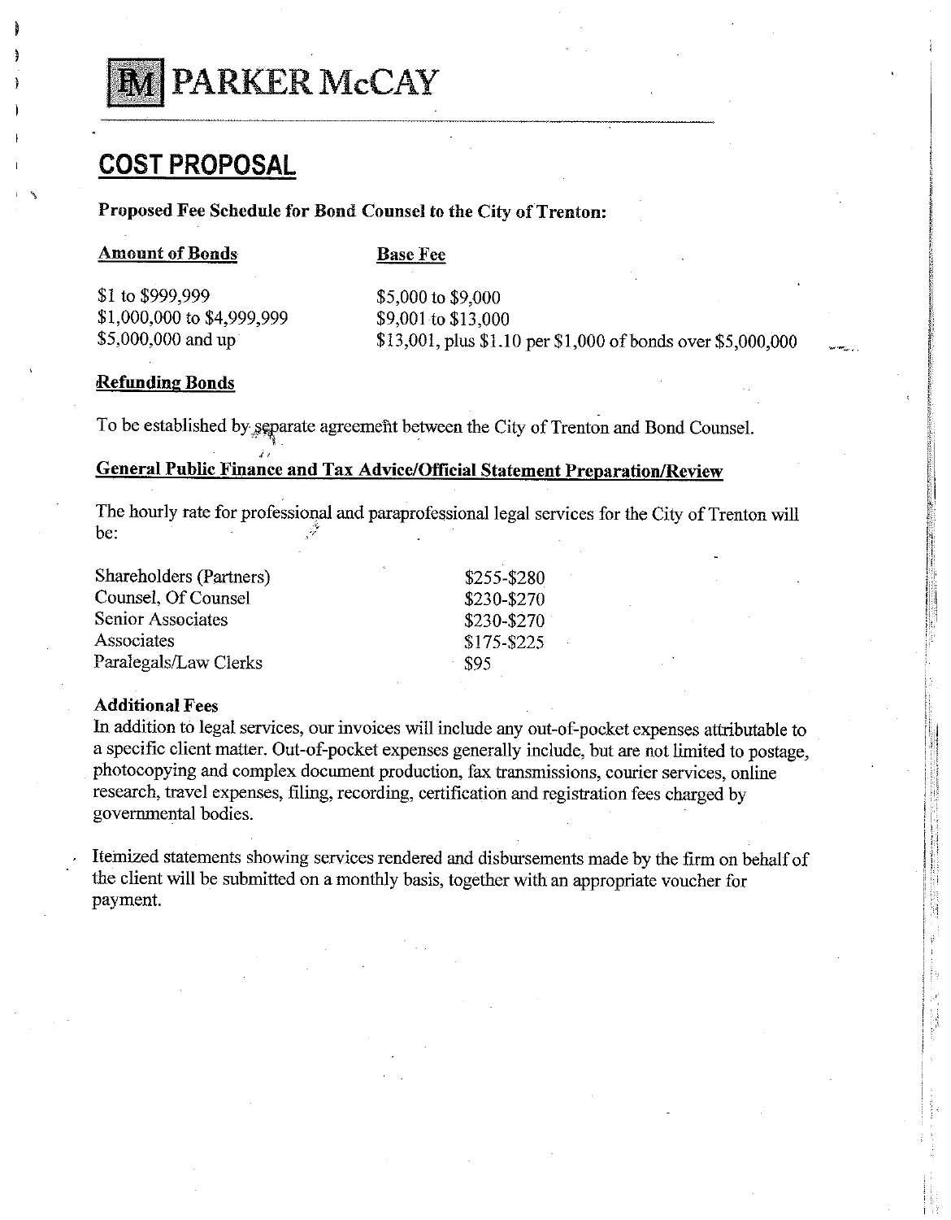

# **COST PROPOSAL**

# Proposed Fee Schedule for Bond Counsel to the City of Trenton:

### **Amount of Bonds**

**Base Fee** 

\$1 to \$999,999 \$1,000,000 to \$4,999,999 \$5,000,000 and up

\$5,000 to \$9,000 \$9,001 to \$13,000 \$13,001, plus \$1.10 per \$1,000 of bonds over \$5,000,000

### **Refunding Bonds**

To be established by separate agreement between the City of Trenton and Bond Counsel.

# **General Public Finance and Tax Advice/Official Statement Preparation/Review**

The hourly rate for professional and paraprofessional legal services for the City of Trenton will be:

| \$255-\$280 |
|-------------|
| \$230-\$270 |
| \$230-\$270 |
| \$175-\$225 |
| - 895       |
|             |

# **Additional Fees**

In addition to legal services, our invoices will include any out-of-pocket expenses attributable to a specific client matter. Out-of-pocket expenses generally include, but are not limited to postage. photocopying and complex document production, fax transmissions, courier services, online research, travel expenses, filing, recording, certification and registration fees charged by governmental bodies.

Itemized statements showing services rendered and disbursements made by the firm on behalf of the client will be submitted on a monthly basis, together with an appropriate voucher for payment.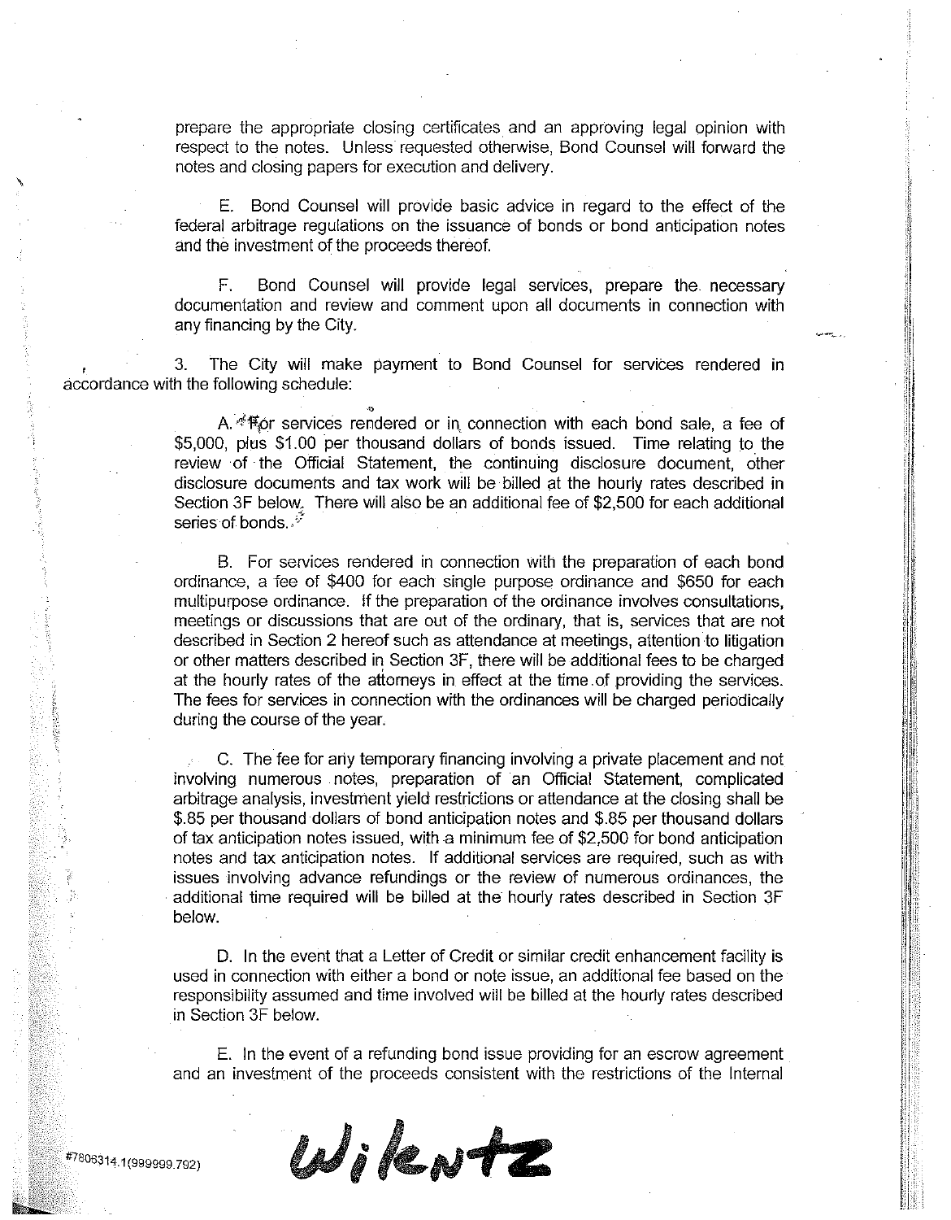prepare the appropriate closing certificates and an approving legal opinion with respect to the notes. Unless requested otherwise, Bond Counsel will forward the notes and closing papers for execution and delivery.

E. Bond Counsel will provide basic advice in regard to the effect of the federal arbitrage regulations on the issuance of bonds or bond anticipation notes and the investment of the proceeds thereof.

Bond Counsel will provide legal services, prepare the necessary F. documentation and review and comment upon all documents in connection with any financing by the City.

The City will make payment to Bond Counsel for services rendered in 3. accordance with the following schedule:

> A. < 幫or services rendered or in connection with each bond sale, a fee of \$5.000. plus \$1.00 per thousand dollars of bonds issued. Time relating to the review of the Official Statement, the continuing disclosure document, other disclosure documents and tax work will be billed at the hourly rates described in Section 3F below. There will also be an additional fee of \$2,500 for each additional series of bonds.  $\sqrt[3]{}$

> B. For services rendered in connection with the preparation of each bond ordinance, a fee of \$400 for each single purpose ordinance and \$650 for each multipurpose ordinance. If the preparation of the ordinance involves consultations. meetings or discussions that are out of the ordinary, that is, services that are not described in Section 2 hereof such as attendance at meetings, attention to litigation or other matters described in Section 3F, there will be additional fees to be charged at the hourly rates of the attorneys in effect at the time of providing the services. The fees for services in connection with the ordinances will be charged periodically during the course of the year.

> C. The fee for any temporary financing involving a private placement and not involving numerous notes, preparation of an Official Statement, complicated arbitrage analysis, investment yield restrictions or attendance at the closing shall be \$.85 per thousand dollars of bond anticipation notes and \$.85 per thousand dollars of tax anticipation notes issued, with a minimum fee of \$2,500 for bond anticipation notes and tax anticipation notes. If additional services are required, such as with issues involving advance refundings or the review of numerous ordinances, the additional time required will be billed at the hourly rates described in Section 3F below.

> D. In the event that a Letter of Credit or similar credit enhancement facility is used in connection with either a bond or note issue, an additional fee based on the responsibility assumed and time involved will be billed at the hourly rates described in Section 3F below.

> E. In the event of a refunding bond issue providing for an escrow agreement and an investment of the proceeds consistent with the restrictions of the Internal

WikNtZ

#7806314.1(999999.792)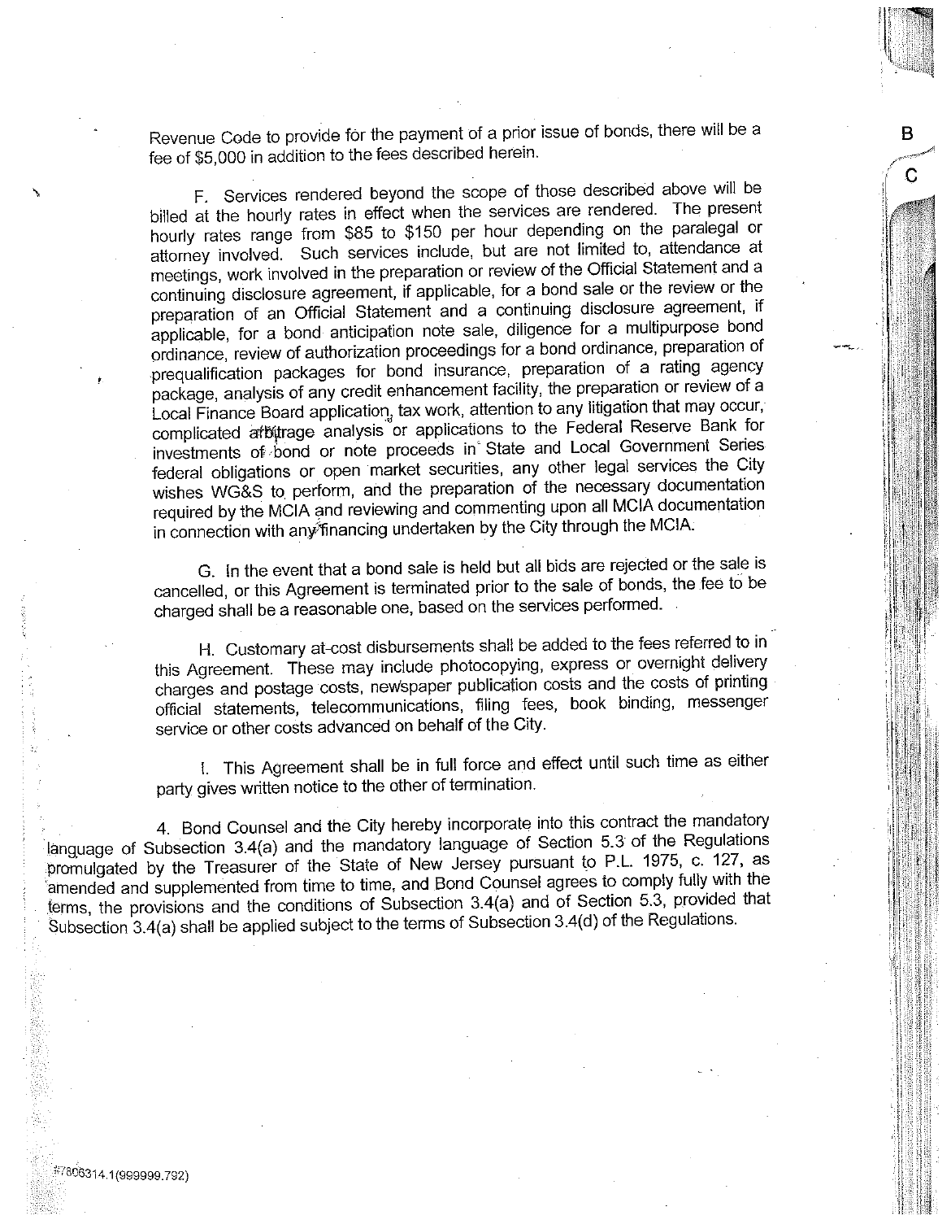Revenue Code to provide for the payment of a prior issue of bonds, there will be a fee of \$5,000 in addition to the fees described herein.

в

C

F. Services rendered beyond the scope of those described above will be billed at the hourly rates in effect when the services are rendered. The present hourly rates range from \$85 to \$150 per hour depending on the paralegal or attorney involved. Such services include, but are not limited to, attendance at meetings, work involved in the preparation or review of the Official Statement and a continuing disclosure agreement, if applicable, for a bond sale or the review or the preparation of an Official Statement and a continuing disclosure agreement, if applicable, for a bond anticipation note sale, diligence for a multipurpose bond ordinance, review of authorization proceedings for a bond ordinance, preparation of prequalification packages for bond insurance, preparation of a rating agency package, analysis of any credit enhancement facility, the preparation or review of a Local Finance Board application, tax work, attention to any litigation that may occur, complicated arbitrage analysis or applications to the Federal Reserve Bank for investments of bond or note proceeds in State and Local Government Series federal obligations or open market securities, any other legal services the City wishes WG&S to perform, and the preparation of the necessary documentation required by the MCIA and reviewing and commenting upon all MCIA documentation in connection with any financing undertaken by the City through the MCIA.

G. In the event that a bond sale is held but all bids are rejected or the sale is cancelled, or this Agreement is terminated prior to the sale of bonds, the fee to be charged shall be a reasonable one, based on the services performed.

H. Customary at-cost disbursements shall be added to the fees referred to in this Agreement. These may include photocopying, express or overnight delivery charges and postage costs, newspaper publication costs and the costs of printing official statements, telecommunications, filing fees, book binding, messenger service or other costs advanced on behalf of the City.

I. This Agreement shall be in full force and effect until such time as either party gives written notice to the other of termination.

4. Bond Counsel and the City hereby incorporate into this contract the mandatory language of Subsection 3.4(a) and the mandatory language of Section 5.3 of the Regulations promulgated by the Treasurer of the State of New Jersey pursuant to P.L. 1975, c. 127, as amended and supplemented from time to time, and Bond Counsel agrees to comply fully with the terms, the provisions and the conditions of Subsection 3.4(a) and of Section 5.3, provided that Subsection 3.4(a) shall be applied subject to the terms of Subsection 3.4(d) of the Regulations.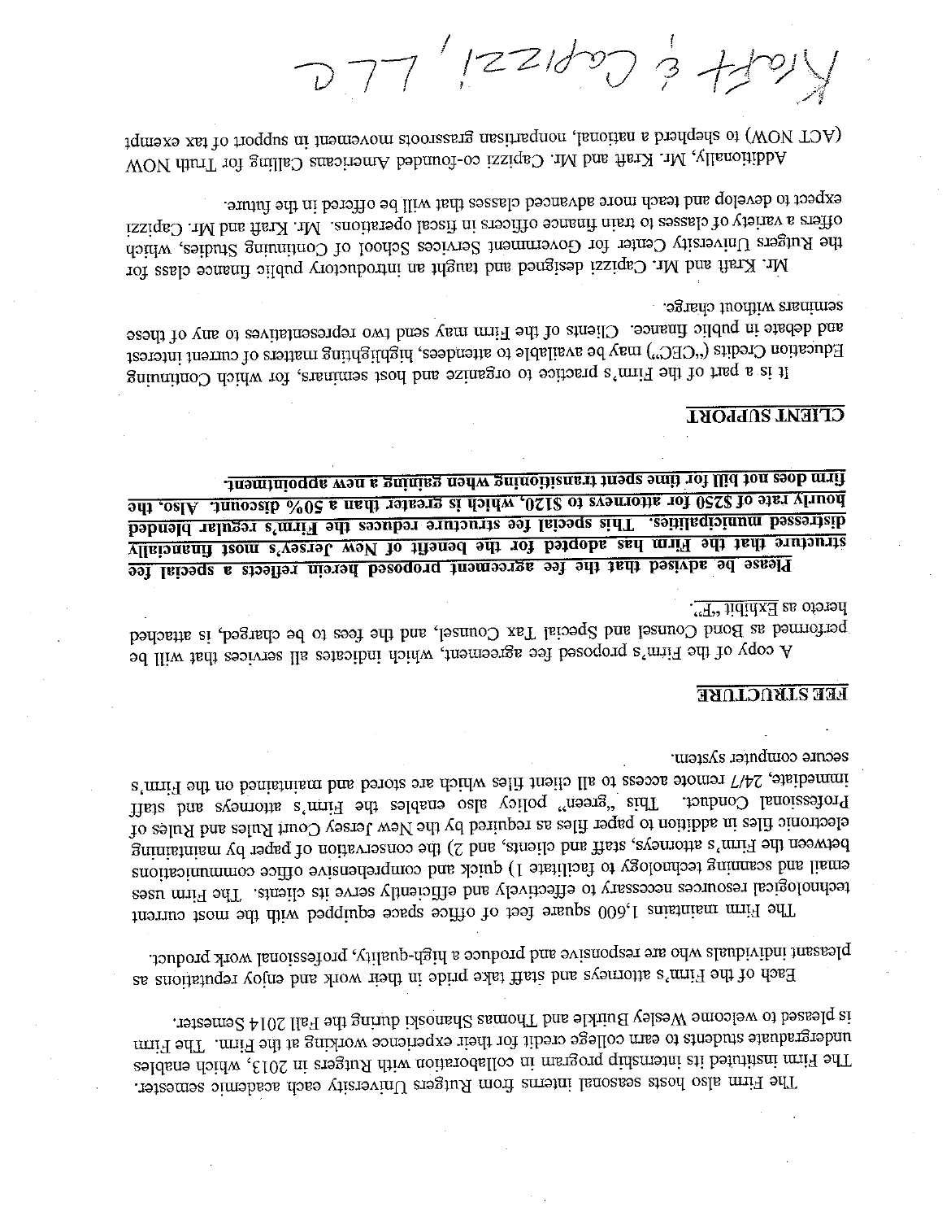is pleased to welcome Wesley Buirkle and Thomas Shanoski during the Fall 2014 Semester. undergraduate students to earn college credit for their experience working at the Finn. The Firm The Firm instituted its internship program in collaboration with Rutgers in 2013, which enables The Firm also hosts seasonal interns from Rutgers University each academic semester.

pleasant individuals who are responsive and produce a high-quality, professional work product. Each of the Firm's attorneys and staff take pride in their work and enjoy reputations as

secure computer system. immediate, 24/7 remote access to all client files which are stored and maintainism is Firm's This bins also enables the Finn's atomorphis and staff Professional Conduct. electronic files in addition to paper files as required by the New Jersey Court Rules and Rules of between the Firm's attenties, staff and clients, and 2) the conservation of paper by maintaining email and scanning technology to facilitate 1) quick and comprehensive office communications technological resources necessary to effectively and efficiently serve its cliently affirm uses The Firm maintains 1,600 square feet of office space equipped with the most current

# **FEE STRUCTURE**

hereto as **Exhibit** "F". ponded, is Bond Counsel and Special Tax Counsel, and the test of order the chapted, is attached A copy of the Firm's proposed fee agreement, which indicates ill asivires that will be

<u>firm does not bill for thne spent transitioning when gaming a new appointment.</u> <u>bourly rate of \$250 for attorneys to \$120, which is greater than a 50% of scount. Also, the</u> distressed municipalities. This special fee structure reduces the Firm's regular blended structure that the Firm has adopted for the benefit of New Jersey's most financially Please be advised that the fee agreement proposed herein reflects a special fee

# **CLIENT SUPPORT**

seminars without charge. and debate in public finance. Clientific and finance way send two representatives to sary of these Education Credits ("CEC") may be available to attendees, highting mains of current interest It is a part of the Firm's practice to organize and host semimars, for which Continuing

expect to develop and teach more advanced classes that will be offered in the future. offers a variety of classes to train finance officers in fiscal operations. Mr. Ann and Mr. Capizzi the Rugers University Center for Government Services School of Continuing Studies, which Mr. Kraft band Mr. Capizzi designed and taught an introductory public finance class for

(WOV TOM) to shephen a hational, nonpartisan grassroots movement in support of tax exempt Notitionally, Mr. Kraft and Mr. Capitazi co-founded Americans Calling for Truth NOW

 $777'$   $|221/27$   $3 + 12$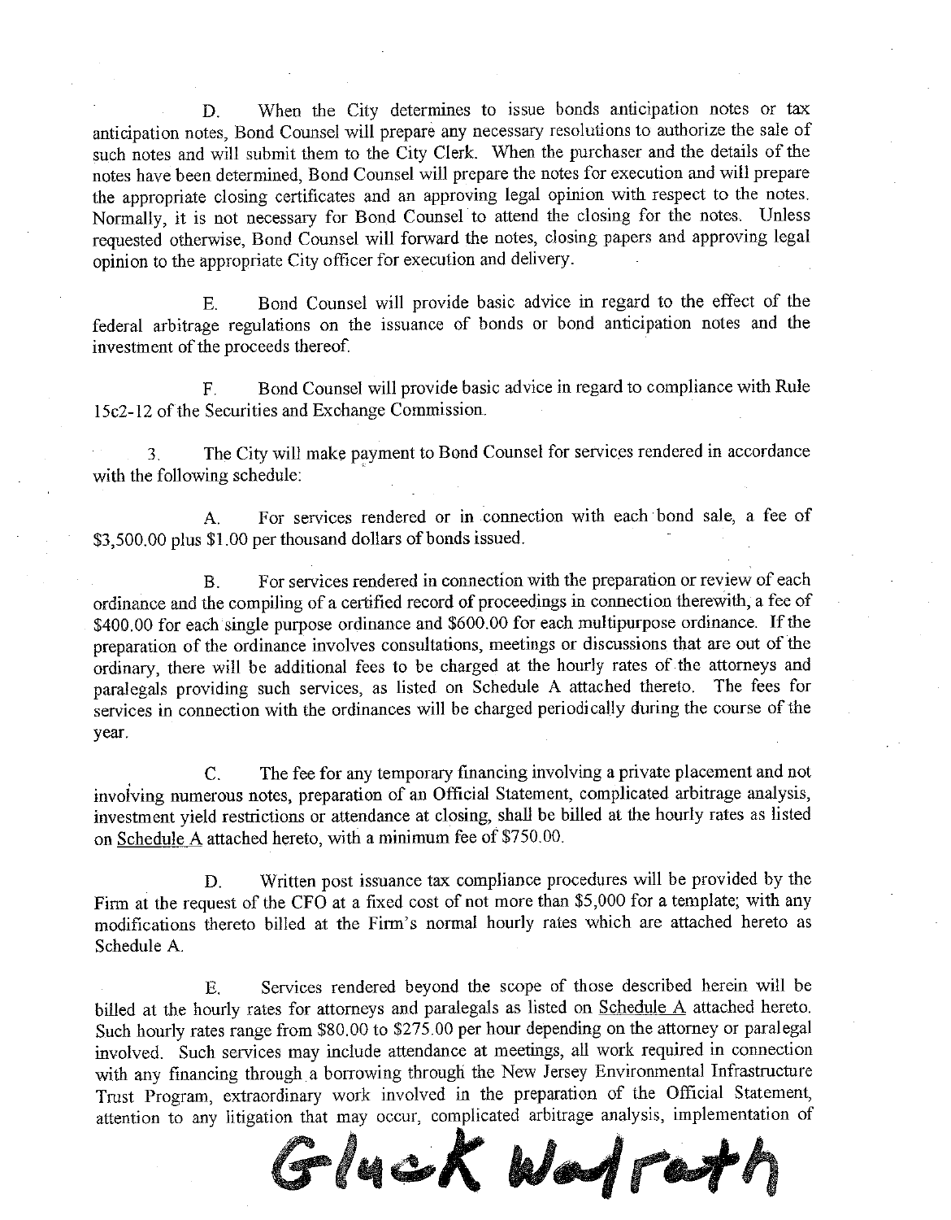When the City determines to issue bonds anticipation notes or tax D. anticipation notes, Bond Counsel will prepare any necessary resolutions to authorize the sale of such notes and will submit them to the City Clerk. When the purchaser and the details of the notes have been determined. Bond Counsel will prepare the notes for execution and will prepare the appropriate closing certificates and an approving legal opinion with respect to the notes. Normally, it is not necessary for Bond Counsel to attend the closing for the notes. Unless requested otherwise, Bond Counsel will forward the notes, closing papers and approving legal opinion to the appropriate City officer for execution and delivery.

Bond Counsel will provide basic advice in regard to the effect of the E. federal arbitrage regulations on the issuance of bonds or bond anticipation notes and the investment of the proceeds thereof.

Bond Counsel will provide basic advice in regard to compliance with Rule  $F.$ 15c2-12 of the Securities and Exchange Commission.

The City will make payment to Bond Counsel for services rendered in accordance 3 with the following schedule:

For services rendered or in connection with each bond sale, a fee of  $\mathbf{A}$ \$3,500.00 plus \$1.00 per thousand dollars of bonds issued.

For services rendered in connection with the preparation or review of each  $B.$ ordinance and the compiling of a certified record of proceedings in connection therewith, a fee of \$400.00 for each single purpose ordinance and \$600.00 for each multipurpose ordinance. If the preparation of the ordinance involves consultations, meetings or discussions that are out of the ordinary, there will be additional fees to be charged at the hourly rates of the attorneys and paralegals providing such services, as listed on Schedule A attached thereto. The fees for services in connection with the ordinances will be charged periodically during the course of the year.

The fee for any temporary financing involving a private placement and not  $\mathcal{C}$ . involving numerous notes, preparation of an Official Statement, complicated arbitrage analysis, investment yield restrictions or attendance at closing, shall be billed at the hourly rates as listed on Schedule A attached hereto, with a minimum fee of \$750.00.

Written post issuance tax compliance procedures will be provided by the D. Firm at the request of the CFO at a fixed cost of not more than \$5,000 for a template; with any modifications thereto billed at the Firm's normal hourly rates which are attached hereto as Schedule A.

Services rendered beyond the scope of those described herein will be  $E$ . billed at the hourly rates for attorneys and paralegals as listed on Schedule A attached hereto. Such hourly rates range from \$80.00 to \$275.00 per hour depending on the attorney or paralegal involved. Such services may include attendance at meetings, all work required in connection with any financing through a borrowing through the New Jersey Environmental Infrastructure Trust Program, extraordinary work involved in the preparation of the Official Statement, attention to any litigation that may occur, complicated arbitrage analysis, implementation of

Glyck Wadrad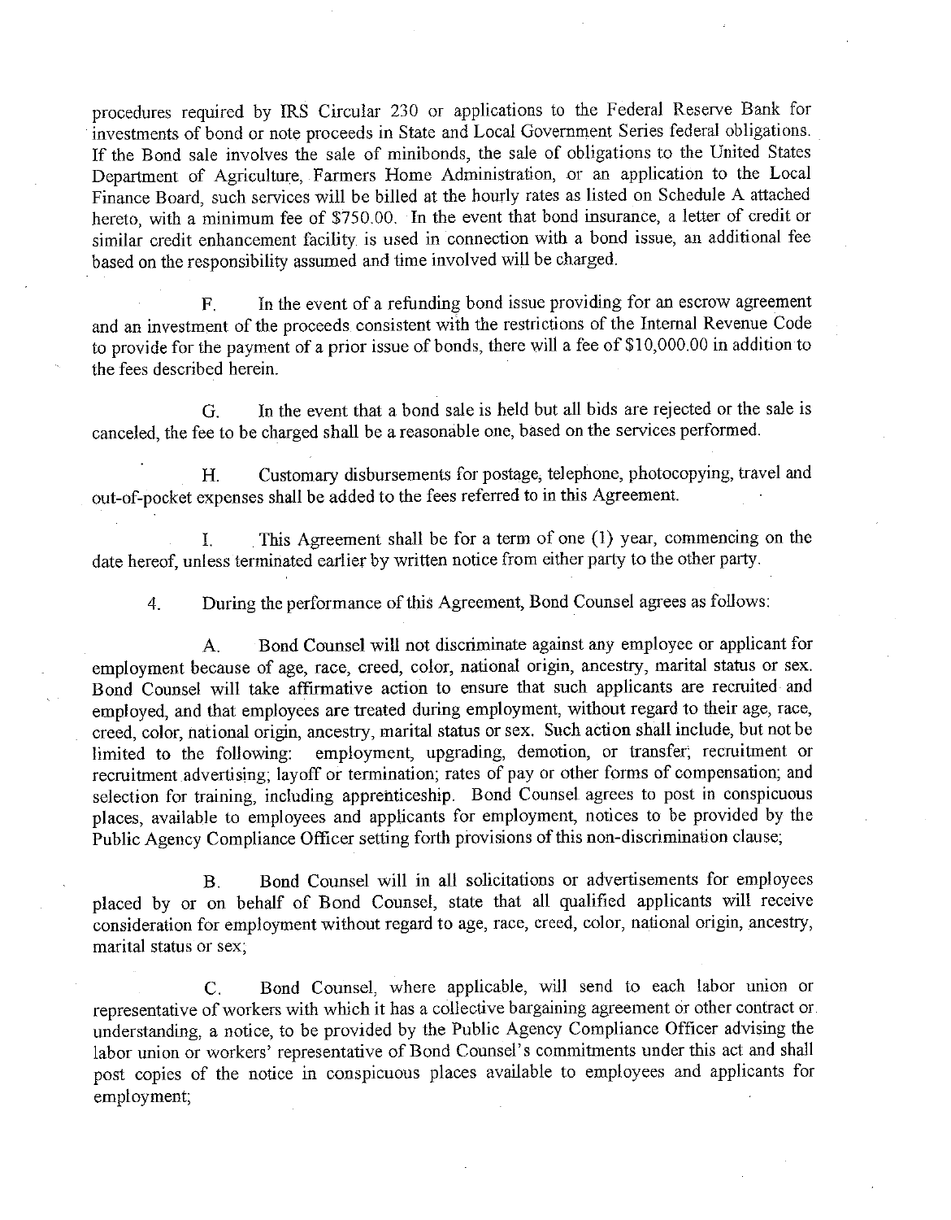procedures required by IRS Circular 230 or applications to the Federal Reserve Bank for investments of bond or note proceeds in State and Local Government Series federal obligations. If the Bond sale involves the sale of minibonds, the sale of obligations to the United States Department of Agriculture, Farmers Home Administration, or an application to the Local Finance Board, such services will be billed at the hourly rates as listed on Schedule A attached hereto, with a minimum fee of \$750.00. In the event that bond insurance, a letter of credit or similar credit enhancement facility is used in connection with a bond issue, an additional fee based on the responsibility assumed and time involved will be charged.

In the event of a refunding bond issue providing for an escrow agreement  $F$ and an investment of the proceeds consistent with the restrictions of the Internal Revenue Code to provide for the payment of a prior issue of bonds, there will a fee of \$10,000.00 in addition to the fees described herein.

In the event that a bond sale is held but all bids are rejected or the sale is  $G<sub>r</sub>$ canceled, the fee to be charged shall be a reasonable one, based on the services performed.

Customary disbursements for postage, telephone, photocopying, travel and  $H_{\cdot}$ out-of-pocket expenses shall be added to the fees referred to in this Agreement.

This Agreement shall be for a term of one (1) year, commencing on the  $\mathbf{I}$ date hereof, unless terminated earlier by written notice from either party to the other party.

During the performance of this Agreement, Bond Counsel agrees as follows:  $4.$ 

Bond Counsel will not discriminate against any employee or applicant for  $A_{\cdot}$ employment because of age, race, creed, color, national origin, ancestry, marital status or sex. Bond Counsel will take affirmative action to ensure that such applicants are recruited and employed, and that employees are treated during employment, without regard to their age, race, creed, color, national origin, ancestry, marital status or sex. Such action shall include, but not be employment, upgrading, demotion, or transfer; recruitment or limited to the following: recruitment advertising, layoff or termination; rates of pay or other forms of compensation; and selection for training, including apprenticeship. Bond Counsel agrees to post in conspicuous places, available to employees and applicants for employment, notices to be provided by the Public Agency Compliance Officer setting forth provisions of this non-discrimination clause,

Bond Counsel will in all solicitations or advertisements for employees  $B.$ placed by or on behalf of Bond Counsel, state that all qualified applicants will receive consideration for employment without regard to age, race, creed, color, national origin, ancestry, marital status or sex;

Bond Counsel, where applicable, will send to each labor union or  $\mathcal{C}$ representative of workers with which it has a collective bargaining agreement or other contract or understanding, a notice, to be provided by the Public Agency Compliance Officer advising the labor union or workers' representative of Bond Counsel's commitments under this act and shall post copies of the notice in conspicuous places available to employees and applicants for employment;